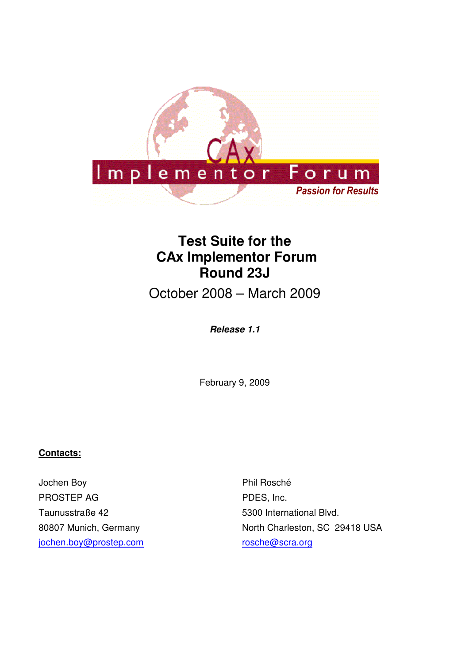

# **Test Suite for the CAx Implementor Forum Round 23J**

October 2008 – March 2009

## **Release 1.1**

February 9, 2009

### **Contacts:**

Jochen Boy PROSTEP AG Taunusstraße 42 80807 Munich, Germany jochen.boy@prostep.com

Phil Rosché PDES, Inc. 5300 International Blvd. North Charleston, SC 29418 USA rosche@scra.org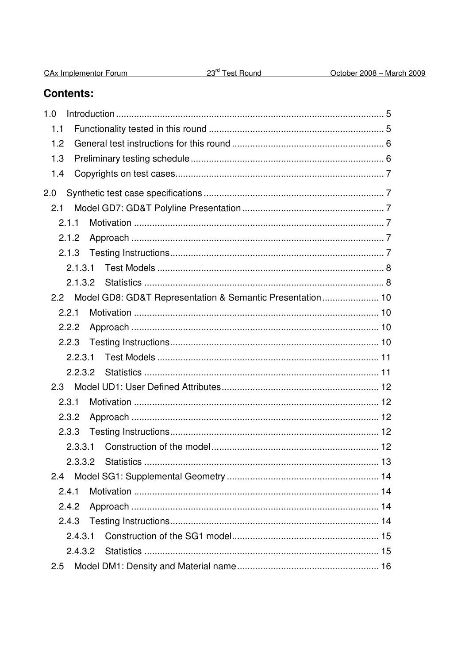| CAx Implementor Forum |  |
|-----------------------|--|
|                       |  |

# **Contents:**

| 1.0           |                                                               |  |
|---------------|---------------------------------------------------------------|--|
| 1.1           |                                                               |  |
| 1.2           |                                                               |  |
| 1.3           |                                                               |  |
| 1.4           |                                                               |  |
| 2.0           |                                                               |  |
| 2.1           |                                                               |  |
| 2.1.1         |                                                               |  |
| 2.1.2         |                                                               |  |
|               |                                                               |  |
|               | 2.1.3.1                                                       |  |
|               |                                                               |  |
|               | 2.2 Model GD8: GD&T Representation & Semantic Presentation 10 |  |
| 2.2.1         |                                                               |  |
| 2.2.2         |                                                               |  |
| 2.2.3         |                                                               |  |
|               | 2.2.3.1                                                       |  |
|               |                                                               |  |
| 2.3           |                                                               |  |
| 2.3.1         |                                                               |  |
| 2.3.2         |                                                               |  |
| 2.3.3         |                                                               |  |
|               | 2.3.3.1                                                       |  |
|               |                                                               |  |
| $2.4^{\circ}$ |                                                               |  |
| 2.4.1         |                                                               |  |
| 2.4.2         |                                                               |  |
| 2.4.3         |                                                               |  |
|               | 2.4.3.1                                                       |  |
|               |                                                               |  |
| 2.5           |                                                               |  |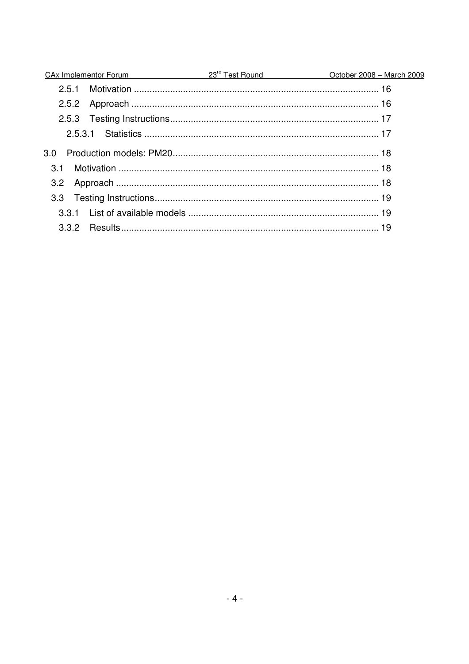| 251<br>2.5.3.1<br>$3.0^{\circ}$<br>3.1<br>3.2<br>3.3 | CAx Implementor Forum 23 <sup>rd</sup> Test Round | October 2008 - March 2009 |
|------------------------------------------------------|---------------------------------------------------|---------------------------|
|                                                      |                                                   |                           |
|                                                      |                                                   |                           |
|                                                      |                                                   |                           |
|                                                      |                                                   |                           |
|                                                      |                                                   |                           |
|                                                      |                                                   |                           |
|                                                      |                                                   |                           |
|                                                      |                                                   |                           |
|                                                      |                                                   |                           |
|                                                      |                                                   |                           |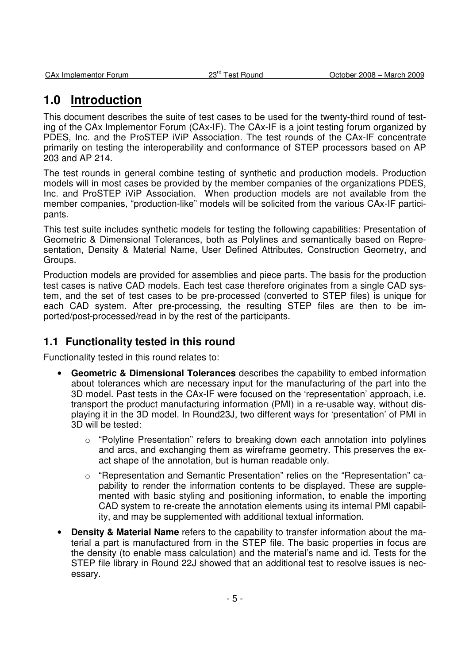# **1.0 Introduction**

This document describes the suite of test cases to be used for the twenty-third round of testing of the CAx Implementor Forum (CAx-IF). The CAx-IF is a joint testing forum organized by PDES, Inc. and the ProSTEP iViP Association. The test rounds of the CAx-IF concentrate primarily on testing the interoperability and conformance of STEP processors based on AP 203 and AP 214.

The test rounds in general combine testing of synthetic and production models. Production models will in most cases be provided by the member companies of the organizations PDES, Inc. and ProSTEP iViP Association. When production models are not available from the member companies, "production-like" models will be solicited from the various CAx-IF participants.

This test suite includes synthetic models for testing the following capabilities: Presentation of Geometric & Dimensional Tolerances, both as Polylines and semantically based on Representation, Density & Material Name, User Defined Attributes, Construction Geometry, and Groups.

Production models are provided for assemblies and piece parts. The basis for the production test cases is native CAD models. Each test case therefore originates from a single CAD system, and the set of test cases to be pre-processed (converted to STEP files) is unique for each CAD system. After pre-processing, the resulting STEP files are then to be imported/post-processed/read in by the rest of the participants.

## **1.1 Functionality tested in this round**

Functionality tested in this round relates to:

- **Geometric & Dimensional Tolerances** describes the capability to embed information about tolerances which are necessary input for the manufacturing of the part into the 3D model. Past tests in the CAx-IF were focused on the 'representation' approach, i.e. transport the product manufacturing information (PMI) in a re-usable way, without displaying it in the 3D model. In Round23J, two different ways for 'presentation' of PMI in 3D will be tested:
	- $\circ$  "Polyline Presentation" refers to breaking down each annotation into polylines and arcs, and exchanging them as wireframe geometry. This preserves the exact shape of the annotation, but is human readable only.
	- "Representation and Semantic Presentation" relies on the "Representation" capability to render the information contents to be displayed. These are supplemented with basic styling and positioning information, to enable the importing CAD system to re-create the annotation elements using its internal PMI capability, and may be supplemented with additional textual information.
- **Density & Material Name** refers to the capability to transfer information about the material a part is manufactured from in the STEP file. The basic properties in focus are the density (to enable mass calculation) and the material's name and id. Tests for the STEP file library in Round 22J showed that an additional test to resolve issues is necessary.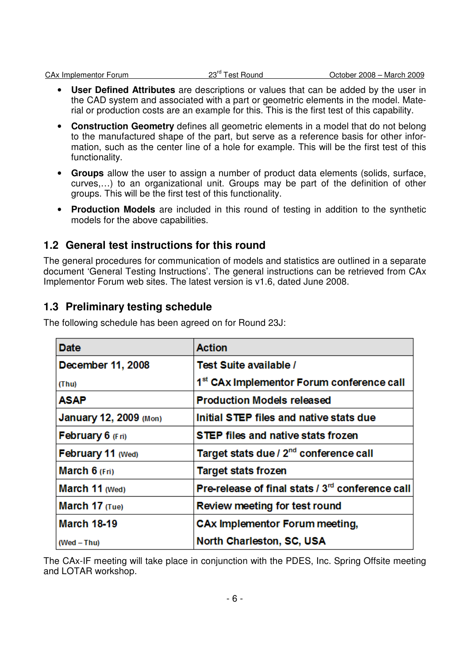- **User Defined Attributes** are descriptions or values that can be added by the user in the CAD system and associated with a part or geometric elements in the model. Material or production costs are an example for this. This is the first test of this capability.
- **Construction Geometry** defines all geometric elements in a model that do not belong to the manufactured shape of the part, but serve as a reference basis for other information, such as the center line of a hole for example. This will be the first test of this functionality.
- **Groups** allow the user to assign a number of product data elements (solids, surface, curves,…) to an organizational unit. Groups may be part of the definition of other groups. This will be the first test of this functionality.
- **Production Models** are included in this round of testing in addition to the synthetic models for the above capabilities.

## **1.2 General test instructions for this round**

The general procedures for communication of models and statistics are outlined in a separate document 'General Testing Instructions'. The general instructions can be retrieved from CAx Implementor Forum web sites. The latest version is v1.6, dated June 2008.

## **1.3 Preliminary testing schedule**

| <b>Date</b>            | <b>Action</b>                                                |
|------------------------|--------------------------------------------------------------|
| December 11, 2008      | Test Suite available /                                       |
| (Thu)                  | 1 <sup>st</sup> CAx Implementor Forum conference call        |
| ASAP                   | <b>Production Models released</b>                            |
| January 12, 2009 (Mon) | Initial STEP files and native stats due                      |
| February 6 (Fri)       | <b>STEP files and native stats frozen</b>                    |
| February 11 (Wed)      | Target stats due / 2 <sup>nd</sup> conference call           |
| March $6$ (Fri)        | <b>Target stats frozen</b>                                   |
| March 11 (Wed)         | Pre-release of final stats / 3 <sup>rd</sup> conference call |
| March 17 (Tue)         | Review meeting for test round                                |
| <b>March 18-19</b>     | CAx Implementor Forum meeting,                               |
| (Wed - Thu)            | North Charleston, SC, USA                                    |

The following schedule has been agreed on for Round 23J:

The CAx-IF meeting will take place in conjunction with the PDES, Inc. Spring Offsite meeting and LOTAR workshop.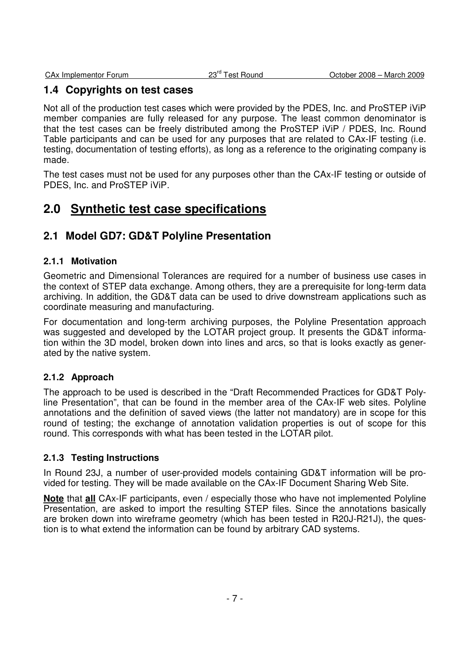## **1.4 Copyrights on test cases**

Not all of the production test cases which were provided by the PDES, Inc. and ProSTEP iViP member companies are fully released for any purpose. The least common denominator is that the test cases can be freely distributed among the ProSTEP iViP / PDES, Inc. Round Table participants and can be used for any purposes that are related to CAx-IF testing (i.e. testing, documentation of testing efforts), as long as a reference to the originating company is made.

The test cases must not be used for any purposes other than the CAx-IF testing or outside of PDES, Inc. and ProSTEP iViP.

# **2.0 Synthetic test case specifications**

## **2.1 Model GD7: GD&T Polyline Presentation**

### **2.1.1 Motivation**

Geometric and Dimensional Tolerances are required for a number of business use cases in the context of STEP data exchange. Among others, they are a prerequisite for long-term data archiving. In addition, the GD&T data can be used to drive downstream applications such as coordinate measuring and manufacturing.

For documentation and long-term archiving purposes, the Polyline Presentation approach was suggested and developed by the LOTAR project group. It presents the GD&T information within the 3D model, broken down into lines and arcs, so that is looks exactly as generated by the native system.

### **2.1.2 Approach**

The approach to be used is described in the "Draft Recommended Practices for GD&T Polyline Presentation", that can be found in the member area of the CAx-IF web sites. Polyline annotations and the definition of saved views (the latter not mandatory) are in scope for this round of testing; the exchange of annotation validation properties is out of scope for this round. This corresponds with what has been tested in the LOTAR pilot.

### **2.1.3 Testing Instructions**

In Round 23J, a number of user-provided models containing GD&T information will be provided for testing. They will be made available on the CAx-IF Document Sharing Web Site.

**Note** that **all** CAx-IF participants, even / especially those who have not implemented Polyline Presentation, are asked to import the resulting STEP files. Since the annotations basically are broken down into wireframe geometry (which has been tested in R20J-R21J), the question is to what extend the information can be found by arbitrary CAD systems.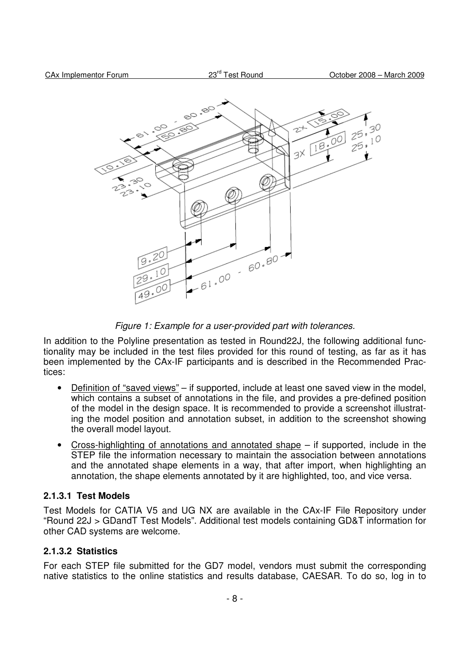

Figure 1: Example for a user-provided part with tolerances.

In addition to the Polyline presentation as tested in Round22J, the following additional functionality may be included in the test files provided for this round of testing, as far as it has been implemented by the CAx-IF participants and is described in the Recommended Practices:

- Definition of "saved views" if supported, include at least one saved view in the model, which contains a subset of annotations in the file, and provides a pre-defined position of the model in the design space. It is recommended to provide a screenshot illustrating the model position and annotation subset, in addition to the screenshot showing the overall model layout.
- Cross-highlighting of annotations and annotated shape  $-$  if supported, include in the STEP file the information necessary to maintain the association between annotations and the annotated shape elements in a way, that after import, when highlighting an annotation, the shape elements annotated by it are highlighted, too, and vice versa.

#### **2.1.3.1 Test Models**

Test Models for CATIA V5 and UG NX are available in the CAx-IF File Repository under "Round 22J > GDandT Test Models". Additional test models containing GD&T information for other CAD systems are welcome.

#### **2.1.3.2 Statistics**

For each STEP file submitted for the GD7 model, vendors must submit the corresponding native statistics to the online statistics and results database, CAESAR. To do so, log in to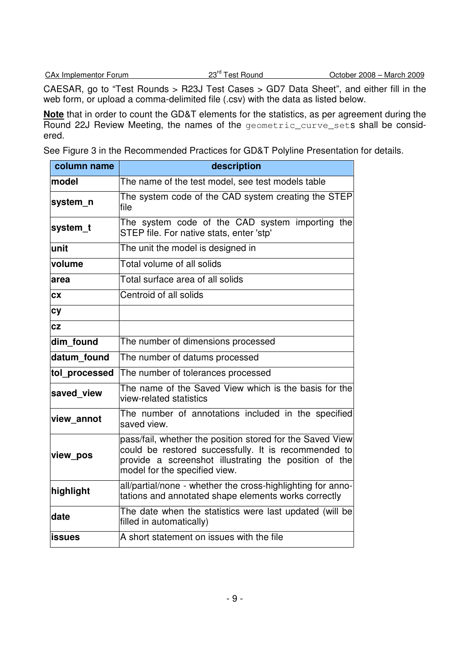CAESAR, go to "Test Rounds > R23J Test Cases > GD7 Data Sheet", and either fill in the web form, or upload a comma-delimited file (.csv) with the data as listed below.

**Note** that in order to count the GD&T elements for the statistics, as per agreement during the Round 22J Review Meeting, the names of the geometric\_curve\_sets shall be considered.

See Figure 3 in the Recommended Practices for GD&T Polyline Presentation for details.

| column name   | description                                                                                                                                                                                                 |  |
|---------------|-------------------------------------------------------------------------------------------------------------------------------------------------------------------------------------------------------------|--|
| model         | The name of the test model, see test models table                                                                                                                                                           |  |
| system n      | The system code of the CAD system creating the STEP<br>file                                                                                                                                                 |  |
| system_t      | The system code of the CAD system importing the<br>STEP file. For native stats, enter 'stp'                                                                                                                 |  |
| unit          | The unit the model is designed in                                                                                                                                                                           |  |
| volume        | Total volume of all solids                                                                                                                                                                                  |  |
| area          | Total surface area of all solids                                                                                                                                                                            |  |
| CX            | Centroid of all solids                                                                                                                                                                                      |  |
| <b>cy</b>     |                                                                                                                                                                                                             |  |
| cz            |                                                                                                                                                                                                             |  |
| dim found     | The number of dimensions processed                                                                                                                                                                          |  |
| datum found   | The number of datums processed                                                                                                                                                                              |  |
| tol processed | The number of tolerances processed                                                                                                                                                                          |  |
| saved view    | The name of the Saved View which is the basis for the<br>view-related statistics                                                                                                                            |  |
| view annot    | The number of annotations included in the specified<br>saved view.                                                                                                                                          |  |
| view pos      | pass/fail, whether the position stored for the Saved View<br>could be restored successfully. It is recommended to<br>provide a screenshot illustrating the position of the<br>model for the specified view. |  |
| highlight     | all/partial/none - whether the cross-highlighting for anno-<br>tations and annotated shape elements works correctly                                                                                         |  |
| date          | The date when the statistics were last updated (will be<br>filled in automatically)                                                                                                                         |  |
| <b>issues</b> | A short statement on issues with the file                                                                                                                                                                   |  |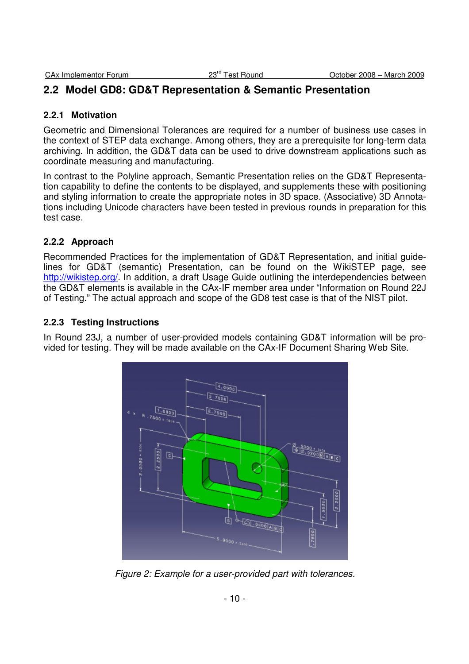## **2.2 Model GD8: GD&T Representation & Semantic Presentation**

#### **2.2.1 Motivation**

Geometric and Dimensional Tolerances are required for a number of business use cases in the context of STEP data exchange. Among others, they are a prerequisite for long-term data archiving. In addition, the GD&T data can be used to drive downstream applications such as coordinate measuring and manufacturing.

In contrast to the Polyline approach, Semantic Presentation relies on the GD&T Representation capability to define the contents to be displayed, and supplements these with positioning and styling information to create the appropriate notes in 3D space. (Associative) 3D Annotations including Unicode characters have been tested in previous rounds in preparation for this test case.

### **2.2.2 Approach**

Recommended Practices for the implementation of GD&T Representation, and initial guidelines for GD&T (semantic) Presentation, can be found on the WikiSTEP page, see http://wikistep.org/. In addition, a draft Usage Guide outlining the interdependencies between the GD&T elements is available in the CAx-IF member area under "Information on Round 22J of Testing." The actual approach and scope of the GD8 test case is that of the NIST pilot.

### **2.2.3 Testing Instructions**

In Round 23J, a number of user-provided models containing GD&T information will be provided for testing. They will be made available on the CAx-IF Document Sharing Web Site.



Figure 2: Example for a user-provided part with tolerances.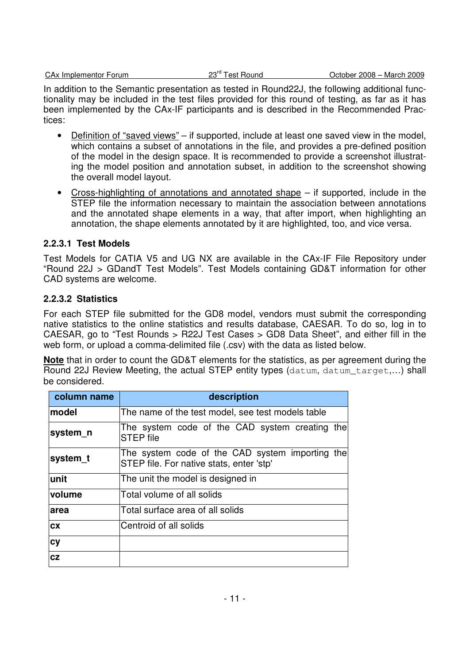In addition to the Semantic presentation as tested in Round22J, the following additional functionality may be included in the test files provided for this round of testing, as far as it has been implemented by the CAx-IF participants and is described in the Recommended Practices:

- Definition of "saved views" if supported, include at least one saved view in the model, which contains a subset of annotations in the file, and provides a pre-defined position of the model in the design space. It is recommended to provide a screenshot illustrating the model position and annotation subset, in addition to the screenshot showing the overall model layout.
- Cross-highlighting of annotations and annotated shape  $-$  if supported, include in the STEP file the information necessary to maintain the association between annotations and the annotated shape elements in a way, that after import, when highlighting an annotation, the shape elements annotated by it are highlighted, too, and vice versa.

### **2.2.3.1 Test Models**

Test Models for CATIA V5 and UG NX are available in the CAx-IF File Repository under "Round 22J > GDandT Test Models". Test Models containing GD&T information for other CAD systems are welcome.

#### **2.2.3.2 Statistics**

For each STEP file submitted for the GD8 model, vendors must submit the corresponding native statistics to the online statistics and results database, CAESAR. To do so, log in to CAESAR, go to "Test Rounds > R22J Test Cases > GD8 Data Sheet", and either fill in the web form, or upload a comma-delimited file (.csv) with the data as listed below.

**Note** that in order to count the GD&T elements for the statistics, as per agreement during the Round 22J Review Meeting, the actual STEP entity types (datum, datum target,...) shall be considered.

| column name   | description                                                                                 |  |
|---------------|---------------------------------------------------------------------------------------------|--|
| lmodel        | The name of the test model, see test models table                                           |  |
| system_n      | The system code of the CAD system creating the<br><b>STEP</b> file                          |  |
| system t      | The system code of the CAD system importing the<br>STEP file. For native stats, enter 'stp' |  |
| lunit         | The unit the model is designed in                                                           |  |
| <b>volume</b> | Total volume of all solids                                                                  |  |
| larea         | Total surface area of all solids                                                            |  |
| <b>CX</b>     | Centroid of all solids                                                                      |  |
| <b>cy</b>     |                                                                                             |  |
| cz            |                                                                                             |  |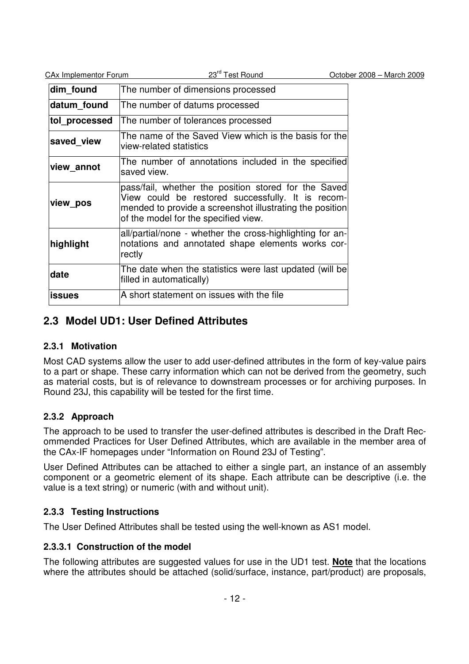| <b>CAx Implementor Forum</b> | 23rd Test Round                                                                                                                                                                                               | October 2008 - March 2009 |
|------------------------------|---------------------------------------------------------------------------------------------------------------------------------------------------------------------------------------------------------------|---------------------------|
| dim_found                    | The number of dimensions processed                                                                                                                                                                            |                           |
| datum found                  | The number of datums processed                                                                                                                                                                                |                           |
| tol processed                | The number of tolerances processed                                                                                                                                                                            |                           |
| saved view                   | The name of the Saved View which is the basis for the<br>view-related statistics                                                                                                                              |                           |
| view annot                   | The number of annotations included in the specified<br>saved view.                                                                                                                                            |                           |
| view_pos                     | pass/fail, whether the position stored for the Saved<br>View could be restored successfully. It is recom-<br>mended to provide a screenshot illustrating the position<br>of the model for the specified view. |                           |
| highlight                    | all/partial/none - whether the cross-highlighting for an-<br>notations and annotated shape elements works cor-<br>rectly                                                                                      |                           |
| date                         | The date when the statistics were last updated (will be<br>filled in automatically)                                                                                                                           |                           |
| <b>issues</b>                | A short statement on issues with the file                                                                                                                                                                     |                           |

## **2.3 Model UD1: User Defined Attributes**

## **2.3.1 Motivation**

Most CAD systems allow the user to add user-defined attributes in the form of key-value pairs to a part or shape. These carry information which can not be derived from the geometry, such as material costs, but is of relevance to downstream processes or for archiving purposes. In Round 23J, this capability will be tested for the first time.

## **2.3.2 Approach**

The approach to be used to transfer the user-defined attributes is described in the Draft Recommended Practices for User Defined Attributes, which are available in the member area of the CAx-IF homepages under "Information on Round 23J of Testing".

User Defined Attributes can be attached to either a single part, an instance of an assembly component or a geometric element of its shape. Each attribute can be descriptive (i.e. the value is a text string) or numeric (with and without unit).

## **2.3.3 Testing Instructions**

The User Defined Attributes shall be tested using the well-known as AS1 model.

### **2.3.3.1 Construction of the model**

The following attributes are suggested values for use in the UD1 test. **Note** that the locations where the attributes should be attached (solid/surface, instance, part/product) are proposals,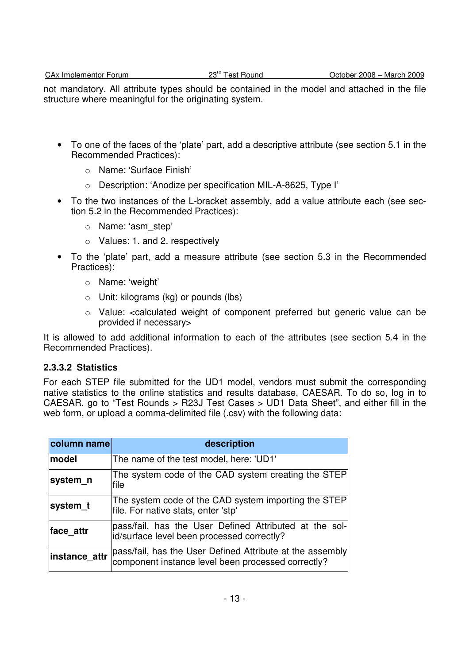not mandatory. All attribute types should be contained in the model and attached in the file structure where meaningful for the originating system.

- To one of the faces of the 'plate' part, add a descriptive attribute (see section 5.1 in the Recommended Practices):
	- o Name: 'Surface Finish'
	- o Description: 'Anodize per specification MIL-A-8625, Type I'
- To the two instances of the L-bracket assembly, add a value attribute each (see section 5.2 in the Recommended Practices):
	- o Name: 'asm\_step'
	- o Values: 1. and 2. respectively
- To the 'plate' part, add a measure attribute (see section 5.3 in the Recommended Practices):
	- o Name: 'weight'
	- o Unit: kilograms (kg) or pounds (lbs)
	- o Value: <calculated weight of component preferred but generic value can be provided if necessary>

It is allowed to add additional information to each of the attributes (see section 5.4 in the Recommended Practices).

### **2.3.3.2 Statistics**

For each STEP file submitted for the UD1 model, vendors must submit the corresponding native statistics to the online statistics and results database, CAESAR. To do so, log in to CAESAR, go to "Test Rounds > R23J Test Cases > UD1 Data Sheet", and either fill in the web form, or upload a comma-delimited file (.csv) with the following data:

| column name | description                                                                                                                    |
|-------------|--------------------------------------------------------------------------------------------------------------------------------|
| model       | The name of the test model, here: 'UD1'                                                                                        |
| system n    | The system code of the CAD system creating the STEP<br>file                                                                    |
| system_t    | The system code of the CAD system importing the STEP<br>file. For native stats, enter 'stp'                                    |
| face attr   | pass/fail, has the User Defined Attributed at the sol-<br>id/surface level been processed correctly?                           |
|             | instance_attr  pass/fail, has the User Defined Attribute at the assembly<br>component instance level been processed correctly? |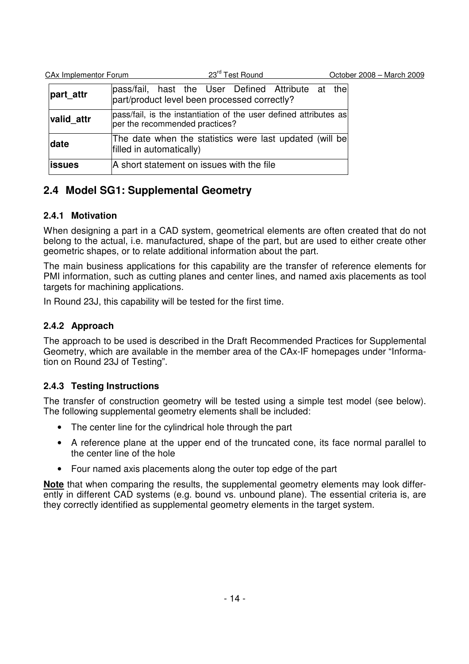| CA <sub>x</sub> Implementor Forum | 23rd Test Round                                                                                     | October 2008 - March 2009 |
|-----------------------------------|-----------------------------------------------------------------------------------------------------|---------------------------|
| part attr                         | pass/fail, hast the User Defined Attribute at<br>part/product level been processed correctly?       | the                       |
| valid attr                        | pass/fail, is the instantiation of the user defined attributes as<br>per the recommended practices? |                           |
| date                              | The date when the statistics were last updated (will be<br>filled in automatically)                 |                           |
| <b>lissues</b>                    | A short statement on issues with the file                                                           |                           |

# **2.4 Model SG1: Supplemental Geometry**

## **2.4.1 Motivation**

When designing a part in a CAD system, geometrical elements are often created that do not belong to the actual, i.e. manufactured, shape of the part, but are used to either create other geometric shapes, or to relate additional information about the part.

The main business applications for this capability are the transfer of reference elements for PMI information, such as cutting planes and center lines, and named axis placements as tool targets for machining applications.

In Round 23J, this capability will be tested for the first time.

## **2.4.2 Approach**

The approach to be used is described in the Draft Recommended Practices for Supplemental Geometry, which are available in the member area of the CAx-IF homepages under "Information on Round 23J of Testing".

## **2.4.3 Testing Instructions**

The transfer of construction geometry will be tested using a simple test model (see below). The following supplemental geometry elements shall be included:

- The center line for the cylindrical hole through the part
- A reference plane at the upper end of the truncated cone, its face normal parallel to the center line of the hole
- Four named axis placements along the outer top edge of the part

**Note** that when comparing the results, the supplemental geometry elements may look differently in different CAD systems (e.g. bound vs. unbound plane). The essential criteria is, are they correctly identified as supplemental geometry elements in the target system.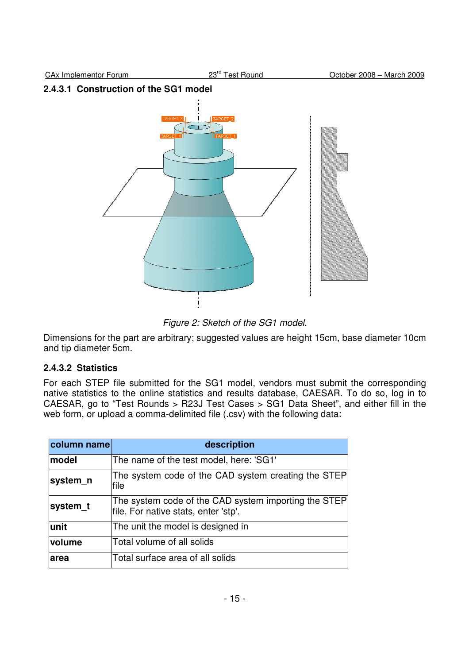## **2.4.3.1 Construction of the SG1 model**



Figure 2: Sketch of the SG1 model.

Dimensions for the part are arbitrary; suggested values are height 15cm, base diameter 10cm and tip diameter 5cm.

## **2.4.3.2 Statistics**

For each STEP file submitted for the SG1 model, vendors must submit the corresponding native statistics to the online statistics and results database, CAESAR. To do so, log in to CAESAR, go to "Test Rounds > R23J Test Cases > SG1 Data Sheet", and either fill in the web form, or upload a comma-delimited file (.csv) with the following data:

| column name | description                                                                                  |
|-------------|----------------------------------------------------------------------------------------------|
| model       | The name of the test model, here: 'SG1'                                                      |
| system n    | The system code of the CAD system creating the STEP<br>lfile                                 |
| system_t    | The system code of the CAD system importing the STEP<br>file. For native stats, enter 'stp'. |
| lunit       | The unit the model is designed in                                                            |
| volume      | Total volume of all solids                                                                   |
| larea       | Total surface area of all solids                                                             |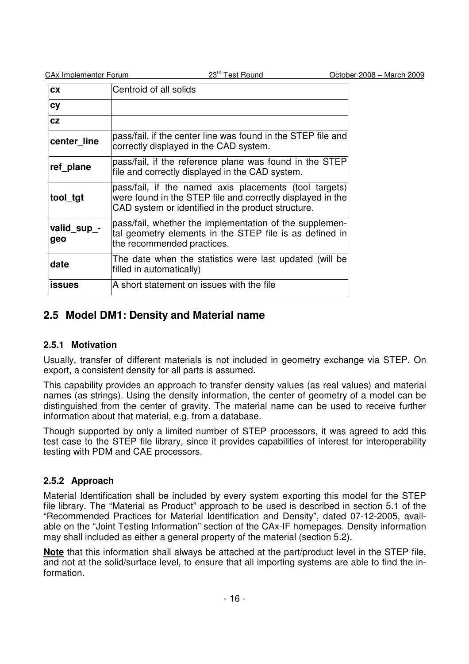| <b>CAx Implementor Forum</b> |  |
|------------------------------|--|
|                              |  |

| <b>CX</b>          | Centroid of all solids                                                                                                                                                     |
|--------------------|----------------------------------------------------------------------------------------------------------------------------------------------------------------------------|
| <b>cy</b>          |                                                                                                                                                                            |
| cz                 |                                                                                                                                                                            |
| center line        | pass/fail, if the center line was found in the STEP file and<br>correctly displayed in the CAD system.                                                                     |
| ref plane          | pass/fail, if the reference plane was found in the STEP<br>file and correctly displayed in the CAD system.                                                                 |
| tool_tgt           | pass/fail, if the named axis placements (tool targets)<br>were found in the STEP file and correctly displayed in the<br>CAD system or identified in the product structure. |
| valid_sup_-<br>geo | pass/fail, whether the implementation of the supplemen-<br>tal geometry elements in the STEP file is as defined in<br>the recommended practices.                           |
| date               | The date when the statistics were last updated (will be<br>filled in automatically)                                                                                        |
| <b>issues</b>      | A short statement on issues with the file                                                                                                                                  |

## **2.5 Model DM1: Density and Material name**

### **2.5.1 Motivation**

Usually, transfer of different materials is not included in geometry exchange via STEP. On export, a consistent density for all parts is assumed.

This capability provides an approach to transfer density values (as real values) and material names (as strings). Using the density information, the center of geometry of a model can be distinguished from the center of gravity. The material name can be used to receive further information about that material, e.g. from a database.

Though supported by only a limited number of STEP processors, it was agreed to add this test case to the STEP file library, since it provides capabilities of interest for interoperability testing with PDM and CAE processors.

### **2.5.2 Approach**

Material Identification shall be included by every system exporting this model for the STEP file library. The "Material as Product" approach to be used is described in section 5.1 of the "Recommended Practices for Material Identification and Density", dated 07-12-2005, available on the "Joint Testing Information" section of the CAx-IF homepages. Density information may shall included as either a general property of the material (section 5.2).

**Note** that this information shall always be attached at the part/product level in the STEP file, and not at the solid/surface level, to ensure that all importing systems are able to find the information.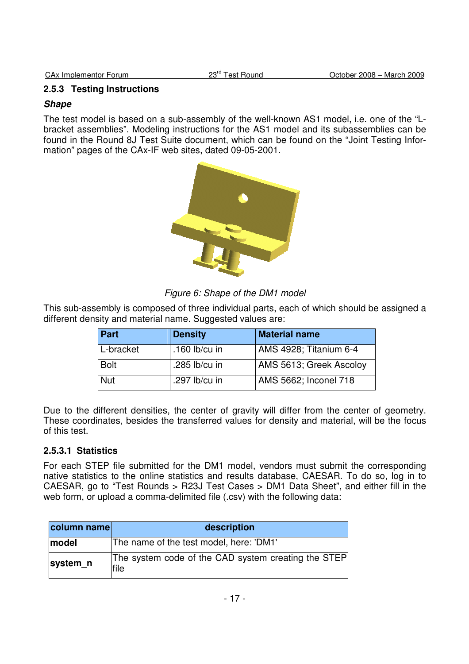## **2.5.3 Testing Instructions**

#### **Shape**

The test model is based on a sub-assembly of the well-known AS1 model, i.e. one of the "Lbracket assemblies". Modeling instructions for the AS1 model and its subassemblies can be found in the Round 8J Test Suite document, which can be found on the "Joint Testing Information" pages of the CAx-IF web sites, dated 09-05-2001.



Figure 6: Shape of the DM1 model

This sub-assembly is composed of three individual parts, each of which should be assigned a different density and material name. Suggested values are:

| Part        | <b>Density</b>  | <b>Material name</b>    |
|-------------|-----------------|-------------------------|
| L-bracket   | .160 $lb/cu$ in | AMS 4928; Titanium 6-4  |
| <b>Bolt</b> | .285 lb/cu in   | AMS 5613; Greek Ascoloy |
| Nut         | .297 lb/cu in   | AMS 5662; Inconel 718   |

Due to the different densities, the center of gravity will differ from the center of geometry. These coordinates, besides the transferred values for density and material, will be the focus of this test.

### **2.5.3.1 Statistics**

For each STEP file submitted for the DM1 model, vendors must submit the corresponding native statistics to the online statistics and results database, CAESAR. To do so, log in to CAESAR, go to "Test Rounds > R23J Test Cases > DM1 Data Sheet", and either fill in the web form, or upload a comma-delimited file (.csv) with the following data:

| column name | description                                                 |
|-------------|-------------------------------------------------------------|
| model       | The name of the test model, here: 'DM1'                     |
| system n    | The system code of the CAD system creating the STEP<br>file |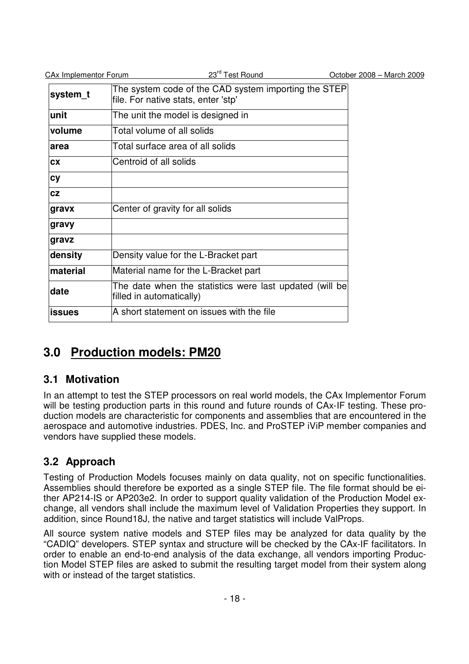| <b>CAx Implementor Forum</b> | 23 <sup>rd</sup> Test Round                                                                 | October 2008 - March 2009 |
|------------------------------|---------------------------------------------------------------------------------------------|---------------------------|
| system_t                     | The system code of the CAD system importing the STEP<br>file. For native stats, enter 'stp' |                           |
| unit                         | The unit the model is designed in                                                           |                           |
| volume                       | Total volume of all solids                                                                  |                           |
| area                         | Total surface area of all solids                                                            |                           |
| CX                           | Centroid of all solids                                                                      |                           |
| <b>cy</b>                    |                                                                                             |                           |
| CZ                           |                                                                                             |                           |
| gravx                        | Center of gravity for all solids                                                            |                           |
| gravy                        |                                                                                             |                           |
| gravz                        |                                                                                             |                           |
| density                      | Density value for the L-Bracket part                                                        |                           |
| material                     | Material name for the L-Bracket part                                                        |                           |
| date                         | The date when the statistics were last updated (will be<br>filled in automatically)         |                           |
| <b>issues</b>                | A short statement on issues with the file                                                   |                           |

# **3.0 Production models: PM20**

# **3.1 Motivation**

In an attempt to test the STEP processors on real world models, the CAx Implementor Forum will be testing production parts in this round and future rounds of CAx-IF testing. These production models are characteristic for components and assemblies that are encountered in the aerospace and automotive industries. PDES, Inc. and ProSTEP iViP member companies and vendors have supplied these models.

# **3.2 Approach**

Testing of Production Models focuses mainly on data quality, not on specific functionalities. Assemblies should therefore be exported as a single STEP file. The file format should be either AP214-IS or AP203e2. In order to support quality validation of the Production Model exchange, all vendors shall include the maximum level of Validation Properties they support. In addition, since Round18J, the native and target statistics will include ValProps.

All source system native models and STEP files may be analyzed for data quality by the "CADIQ" developers. STEP syntax and structure will be checked by the CAx-IF facilitators. In order to enable an end-to-end analysis of the data exchange, all vendors importing Production Model STEP files are asked to submit the resulting target model from their system along with or instead of the target statistics.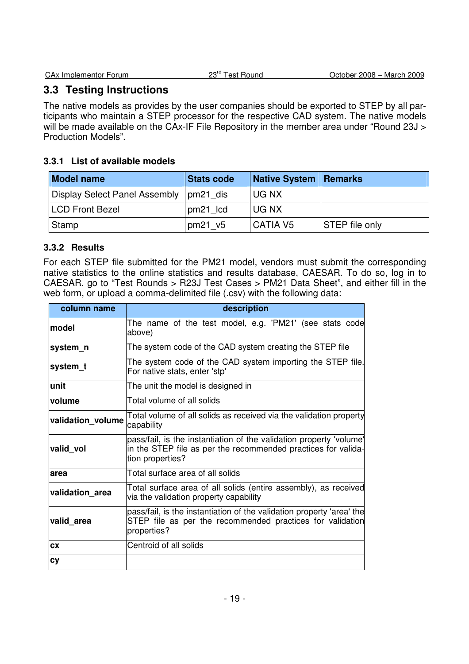# **3.3 Testing Instructions**

The native models as provides by the user companies should be exported to STEP by all participants who maintain a STEP processor for the respective CAD system. The native models will be made available on the CAx-IF File Repository in the member area under "Round 23J > Production Models".

## **3.3.1 List of available models**

| <b>Model name</b>                        | <b>Stats code</b> | <b>Native System Remarks</b> |                |
|------------------------------------------|-------------------|------------------------------|----------------|
| Display Select Panel Assembly   pm21 dis |                   | UG NX                        |                |
| <b>LCD Front Bezel</b>                   | pm21 lcd          | UG NX                        |                |
| Stamp                                    | pm21 v5           | CATIA V <sub>5</sub>         | STEP file only |

## **3.3.2 Results**

For each STEP file submitted for the PM21 model, vendors must submit the corresponding native statistics to the online statistics and results database, CAESAR. To do so, log in to CAESAR, go to "Test Rounds > R23J Test Cases > PM21 Data Sheet", and either fill in the web form, or upload a comma-delimited file (.csv) with the following data:

| column name       | description                                                                                                                                              |  |
|-------------------|----------------------------------------------------------------------------------------------------------------------------------------------------------|--|
| lmodel            | The name of the test model, e.g. 'PM21' (see stats code<br>above)                                                                                        |  |
| system n          | The system code of the CAD system creating the STEP file                                                                                                 |  |
| system_t          | The system code of the CAD system importing the STEP file.<br>For native stats, enter 'stp'                                                              |  |
| unit              | The unit the model is designed in                                                                                                                        |  |
| volume            | Total volume of all solids                                                                                                                               |  |
| validation_volume | Total volume of all solids as received via the validation property<br>capability                                                                         |  |
| valid vol         | pass/fail, is the instantiation of the validation property 'volume'<br>in the STEP file as per the recommended practices for valida-<br>tion properties? |  |
| area              | Total surface area of all solids                                                                                                                         |  |
| validation area   | Total surface area of all solids (entire assembly), as received<br>via the validation property capability                                                |  |
| valid area        | pass/fail, is the instantiation of the validation property 'area' the<br>STEP file as per the recommended practices for validation<br>properties?        |  |
| <b>CX</b>         | Centroid of all solids                                                                                                                                   |  |
| cy                |                                                                                                                                                          |  |